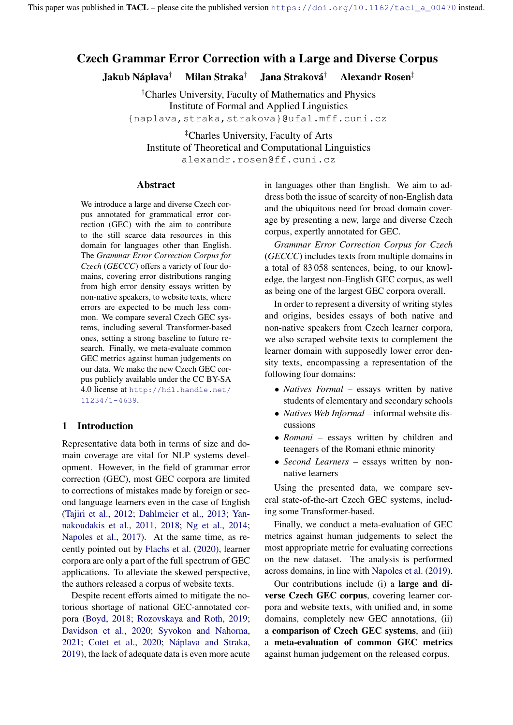# Czech Grammar Error Correction with a Large and Diverse Corpus

Jakub Náplava† Milan Straka† Jana Straková† Alexandr Rosen‡

†Charles University, Faculty of Mathematics and Physics Institute of Formal and Applied Linguistics

{naplava,straka,strakova}@ufal.mff.cuni.cz

‡Charles University, Faculty of Arts Institute of Theoretical and Computational Linguistics alexandr.rosen@ff.cuni.cz

### Abstract

We introduce a large and diverse Czech corpus annotated for grammatical error correction (GEC) with the aim to contribute to the still scarce data resources in this domain for languages other than English. The *Grammar Error Correction Corpus for Czech* (*GECCC*) offers a variety of four domains, covering error distributions ranging from high error density essays written by non-native speakers, to website texts, where errors are expected to be much less common. We compare several Czech GEC systems, including several Transformer-based ones, setting a strong baseline to future research. Finally, we meta-evaluate common GEC metrics against human judgements on our data. We make the new Czech GEC corpus publicly available under the CC BY-SA 4.0 license at [http://hdl.handle.net/](http://hdl.handle.net/11234/1-4639) [11234/1-4639](http://hdl.handle.net/11234/1-4639).

# 1 Introduction

Representative data both in terms of size and domain coverage are vital for NLP systems development. However, in the field of grammar error correction (GEC), most GEC corpora are limited to corrections of mistakes made by foreign or second language learners even in the case of English [\(Tajiri et al.,](#page-15-0) [2012;](#page-15-0) [Dahlmeier et al.,](#page-12-0) [2013;](#page-12-0) [Yan](#page-15-1)[nakoudakis et al.,](#page-15-1) [2011,](#page-15-1) [2018;](#page-15-2) [Ng et al.,](#page-14-0) [2014;](#page-14-0) [Napoles et al.,](#page-14-1) [2017\)](#page-14-1). At the same time, as recently pointed out by [Flachs et al.](#page-12-1) [\(2020\)](#page-12-1), learner corpora are only a part of the full spectrum of GEC applications. To alleviate the skewed perspective, the authors released a corpus of website texts.

Despite recent efforts aimed to mitigate the notorious shortage of national GEC-annotated corpora [\(Boyd,](#page-11-0) [2018;](#page-11-0) [Rozovskaya and Roth,](#page-14-2) [2019;](#page-14-2) [Davidson et al.,](#page-12-2) [2020;](#page-12-2) [Syvokon and Nahorna,](#page-15-3) [2021;](#page-15-3) [Cotet et al.,](#page-12-3) [2020;](#page-12-3) [Náplava and Straka,](#page-13-0) [2019\)](#page-13-0), the lack of adequate data is even more acute in languages other than English. We aim to address both the issue of scarcity of non-English data and the ubiquitous need for broad domain coverage by presenting a new, large and diverse Czech corpus, expertly annotated for GEC.

*Grammar Error Correction Corpus for Czech* (*GECCC*) includes texts from multiple domains in a total of 83 058 sentences, being, to our knowledge, the largest non-English GEC corpus, as well as being one of the largest GEC corpora overall.

In order to represent a diversity of writing styles and origins, besides essays of both native and non-native speakers from Czech learner corpora, we also scraped website texts to complement the learner domain with supposedly lower error density texts, encompassing a representation of the following four domains:

- *Natives Formal* essays written by native students of elementary and secondary schools
- *Natives Web Informal* informal website discussions
- *Romani* essays written by children and teenagers of the Romani ethnic minority
- *Second Learners* essays written by nonnative learners

Using the presented data, we compare several state-of-the-art Czech GEC systems, including some Transformer-based.

Finally, we conduct a meta-evaluation of GEC metrics against human judgements to select the most appropriate metric for evaluating corrections on the new dataset. The analysis is performed across domains, in line with [Napoles et al.](#page-13-1) [\(2019\)](#page-13-1).

Our contributions include (i) a large and diverse Czech GEC corpus, covering learner corpora and website texts, with unified and, in some domains, completely new GEC annotations, (ii) a comparison of Czech GEC systems, and (iii) a meta-evaluation of common GEC metrics against human judgement on the released corpus.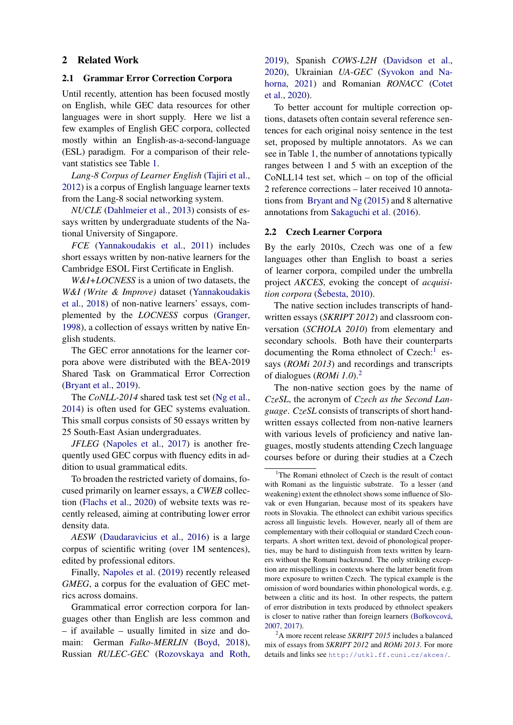### 2 Related Work

#### 2.1 Grammar Error Correction Corpora

Until recently, attention has been focused mostly on English, while GEC data resources for other languages were in short supply. Here we list a few examples of English GEC corpora, collected mostly within an English-as-a-second-language (ESL) paradigm. For a comparison of their relevant statistics see Table [1.](#page-2-0)

*Lang-8 Corpus of Learner English* [\(Tajiri et al.,](#page-15-0) [2012\)](#page-15-0) is a corpus of English language learner texts from the Lang-8 social networking system.

*NUCLE* [\(Dahlmeier et al.,](#page-12-0) [2013\)](#page-12-0) consists of essays written by undergraduate students of the National University of Singapore.

*FCE* [\(Yannakoudakis et al.,](#page-15-1) [2011\)](#page-15-1) includes short essays written by non-native learners for the Cambridge ESOL First Certificate in English.

*W&I+LOCNESS* is a union of two datasets, the *W&I (Write & Improve)* dataset [\(Yannakoudakis](#page-15-2) [et al.,](#page-15-2) [2018\)](#page-15-2) of non-native learners' essays, complemented by the *LOCNESS* corpus [\(Granger,](#page-13-2) [1998\)](#page-13-2), a collection of essays written by native English students.

The GEC error annotations for the learner corpora above were distributed with the BEA-2019 Shared Task on Grammatical Error Correction [\(Bryant et al.,](#page-11-1) [2019\)](#page-11-1).

The *CoNLL-2014* shared task test set [\(Ng et al.,](#page-14-0) [2014\)](#page-14-0) is often used for GEC systems evaluation. This small corpus consists of 50 essays written by 25 South-East Asian undergraduates.

*JFLEG* [\(Napoles et al.,](#page-14-1) [2017\)](#page-14-1) is another frequently used GEC corpus with fluency edits in addition to usual grammatical edits.

To broaden the restricted variety of domains, focused primarily on learner essays, a *CWEB* collection [\(Flachs et al.,](#page-12-1) [2020\)](#page-12-1) of website texts was recently released, aiming at contributing lower error density data.

*AESW* [\(Daudaravicius et al.,](#page-12-4) [2016\)](#page-12-4) is a large corpus of scientific writing (over 1M sentences), edited by professional editors.

Finally, [Napoles et al.](#page-13-1) [\(2019\)](#page-13-1) recently released *GMEG*, a corpus for the evaluation of GEC metrics across domains.

Grammatical error correction corpora for languages other than English are less common and – if available – usually limited in size and domain: German *Falko-MERLIN* [\(Boyd,](#page-11-0) [2018\)](#page-11-0), Russian *RULEC-GEC* [\(Rozovskaya and Roth,](#page-14-2) [2019\)](#page-14-2), Spanish *COWS-L2H* [\(Davidson et al.,](#page-12-2) [2020\)](#page-12-2), Ukrainian *UA-GEC* [\(Syvokon and Na](#page-15-3)[horna,](#page-15-3) [2021\)](#page-15-3) and Romanian *RONACC* [\(Cotet](#page-12-3) [et al.,](#page-12-3) [2020\)](#page-12-3).

To better account for multiple correction options, datasets often contain several reference sentences for each original noisy sentence in the test set, proposed by multiple annotators. As we can see in Table [1,](#page-2-0) the number of annotations typically ranges between 1 and 5 with an exception of the CoNLL14 test set, which – on top of the official 2 reference corrections – later received 10 annotations from [Bryant and Ng](#page-12-5) [\(2015\)](#page-12-5) and 8 alternative annotations from [Sakaguchi et al.](#page-14-3) [\(2016\)](#page-14-3).

### 2.2 Czech Learner Corpora

By the early 2010s, Czech was one of a few languages other than English to boast a series of learner corpora, compiled under the umbrella project *AKCES*, evoking the concept of *acquisition corpora* [\(Šebesta,](#page-15-4) [2010\)](#page-15-4).

The native section includes transcripts of handwritten essays (*SKRIPT 2012*) and classroom conversation (*SCHOLA 2010*) from elementary and secondary schools. Both have their counterparts documenting the Roma ethnolect of Czech:<sup>[1](#page-1-0)</sup> essays (*ROMi 2013*) and recordings and transcripts of dialogues (*ROMi 1.0*).[2](#page-1-1)

The non-native section goes by the name of *CzeSL*, the acronym of *Czech as the Second Language*. *CzeSL* consists of transcripts of short handwritten essays collected from non-native learners with various levels of proficiency and native languages, mostly students attending Czech language courses before or during their studies at a Czech

<span id="page-1-0"></span><sup>&</sup>lt;sup>1</sup>The Romani ethnolect of Czech is the result of contact with Romani as the linguistic substrate. To a lesser (and weakening) extent the ethnolect shows some influence of Slovak or even Hungarian, because most of its speakers have roots in Slovakia. The ethnolect can exhibit various specifics across all linguistic levels. However, nearly all of them are complementary with their colloquial or standard Czech counterparts. A short written text, devoid of phonological properties, may be hard to distinguish from texts written by learners without the Romani backround. The only striking exception are misspellings in contexts where the latter benefit from more exposure to written Czech. The typical example is the omission of word boundaries within phonological words, e.g. between a clitic and its host. In other respects, the pattern of error distribution in texts produced by ethnolect speakers is closer to native rather than foreign learners (Bořkovcová, [2007,](#page-11-2) [2017\)](#page-11-3).

<span id="page-1-1"></span><sup>2</sup>A more recent release *SKRIPT 2015* includes a balanced mix of essays from *SKRIPT 2012* and *ROMi 2013*. For more details and links see <http://utkl.ff.cuni.cz/akces/>.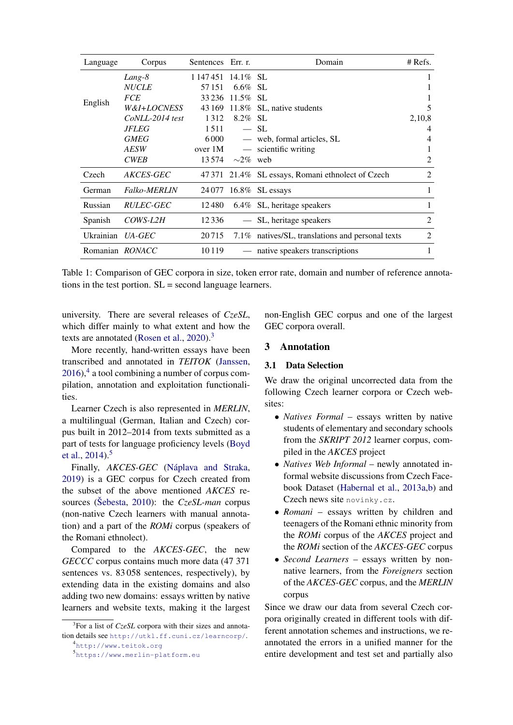<span id="page-2-0"></span>

| Language  | Corpus                 | Sentences Err. r. |               | Domain                                            | $#$ Refs.      |
|-----------|------------------------|-------------------|---------------|---------------------------------------------------|----------------|
|           | Lang-8                 | 1 147 451         | 14.1% SL      |                                                   | 1              |
|           | <b>NUCLE</b>           | 57 151            | $6.6\%$ SL    |                                                   |                |
|           | <b>FCE</b>             | 33 2 36           | $11.5\%$ SL   |                                                   |                |
| English   | W&I+LOCNESS            | 43 169            |               | 11.8% SL, native students                         | 5              |
|           | CoNLL-2014 test        | 1312              | $8.2\%$ SL    |                                                   | 2,10,8         |
|           | <b>JFLEG</b>           | 1511              |               | $- SL$                                            | 4              |
|           | <b>GMEG</b>            |                   |               | — web, formal articles, SL                        | 4              |
|           | <b>AESW</b>            | over 1M           |               | - scientific writing                              |                |
|           | <b>CWEB</b>            | 13.574            | $\sim$ 2% web |                                                   | 2              |
| Czech     | AKCES-GEC              |                   |               | 47 371 21.4% SL essays, Romani ethnolect of Czech | 2              |
| German    | <b>Falko-MERLIN</b>    | 24 077            |               | 16.8% SL essays                                   | 1              |
| Russian   | <b>RULEC-GEC</b>       | 12480             |               | 6.4% SL, heritage speakers                        | 1              |
| Spanish   | COWS-L2H               | 12 3 3 6          |               | SL, heritage speakers                             | $\overline{2}$ |
| Ukrainian | UA-GEC                 | 20715             |               | 7.1% natives/SL, translations and personal texts  | $\mathfrak{D}$ |
|           | Romanian <i>RONACC</i> | 10 1 19           |               | native speakers transcriptions                    |                |

Table 1: Comparison of GEC corpora in size, token error rate, domain and number of reference annotations in the test portion. SL = second language learners.

university. There are several releases of *CzeSL*, which differ mainly to what extent and how the texts are annotated [\(Rosen et al.,](#page-14-4)  $2020$ ).<sup>[3](#page-2-1)</sup>

More recently, hand-written essays have been transcribed and annotated in *TEITOK* [\(Janssen,](#page-13-3)  $2016$ ,<sup>[4](#page-2-2)</sup> a tool combining a number of corpus compilation, annotation and exploitation functionalities.

Learner Czech is also represented in *MERLIN*, a multilingual (German, Italian and Czech) corpus built in 2012–2014 from texts submitted as a part of tests for language proficiency levels [\(Boyd](#page-11-4) [et al.,](#page-11-4)  $2014$ ).<sup>[5](#page-2-3)</sup>

Finally, *AKCES-GEC* [\(Náplava and Straka,](#page-13-0) [2019\)](#page-13-0) is a GEC corpus for Czech created from the subset of the above mentioned *AKCES* resources [\(Šebesta,](#page-15-4) [2010\)](#page-15-4): the *CzeSL-man* corpus (non-native Czech learners with manual annotation) and a part of the *ROMi* corpus (speakers of the Romani ethnolect).

Compared to the *AKCES-GEC*, the new *GECCC* corpus contains much more data (47 371 sentences vs. 83 058 sentences, respectively), by extending data in the existing domains and also adding two new domains: essays written by native learners and website texts, making it the largest non-English GEC corpus and one of the largest GEC corpora overall.

### 3 Annotation

#### 3.1 Data Selection

We draw the original uncorrected data from the following Czech learner corpora or Czech websites:

- *Natives Formal* essays written by native students of elementary and secondary schools from the *SKRIPT 2012* learner corpus, compiled in the *AKCES* project
- *Natives Web Informal* newly annotated informal website discussions from Czech Facebook Dataset [\(Habernal et al.,](#page-13-4) [2013a](#page-13-4)[,b\)](#page-13-5) and Czech news site novinky.cz.
- *Romani* essays written by children and teenagers of the Romani ethnic minority from the *ROMi* corpus of the *AKCES* project and the *ROMi* section of the *AKCES-GEC* corpus
- *Second Learners* essays written by nonnative learners, from the *Foreigners* section of the *AKCES-GEC* corpus, and the *MERLIN* corpus

Since we draw our data from several Czech corpora originally created in different tools with different annotation schemes and instructions, we reannotated the errors in a unified manner for the entire development and test set and partially also

<span id="page-2-1"></span><sup>&</sup>lt;sup>3</sup>For a list of *CzeSL* corpora with their sizes and annotation details see <http://utkl.ff.cuni.cz/learncorp/>.

<span id="page-2-2"></span><sup>4</sup> <http://www.teitok.org>

<span id="page-2-3"></span><sup>5</sup> <https://www.merlin-platform.eu>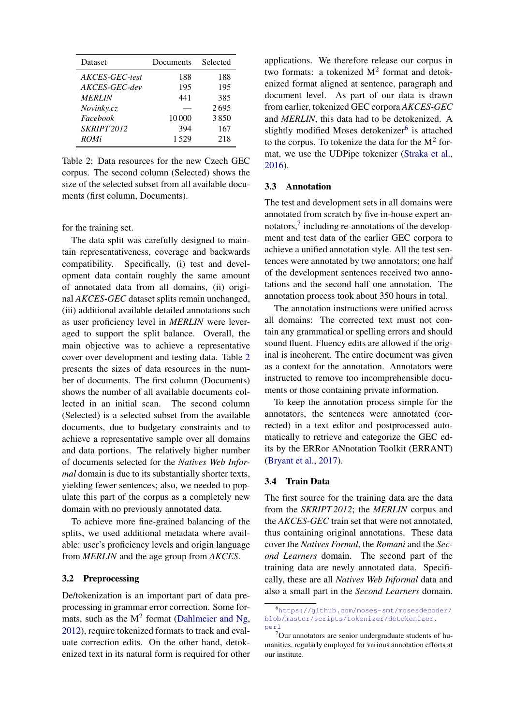<span id="page-3-0"></span>

| Dataset            | Documents | Selected |
|--------------------|-----------|----------|
| AKCES-GEC-test     | 188       | 188      |
| AKCES-GEC-dev      | 195       | 195      |
| <b>MERLIN</b>      | 441       | 385      |
| Novinky.cz         |           | 2695     |
| <b>Facebook</b>    | 10000     | 3850     |
| <b>SKRIPT 2012</b> | 394       | 167      |
| ROMi               | 1.529     | 218      |

Table 2: Data resources for the new Czech GEC corpus. The second column (Selected) shows the size of the selected subset from all available documents (first column, Documents).

for the training set.

The data split was carefully designed to maintain representativeness, coverage and backwards compatibility. Specifically, (i) test and development data contain roughly the same amount of annotated data from all domains, (ii) original *AKCES-GEC* dataset splits remain unchanged, (iii) additional available detailed annotations such as user proficiency level in *MERLIN* were leveraged to support the split balance. Overall, the main objective was to achieve a representative cover over development and testing data. Table [2](#page-3-0) presents the sizes of data resources in the number of documents. The first column (Documents) shows the number of all available documents collected in an initial scan. The second column (Selected) is a selected subset from the available documents, due to budgetary constraints and to achieve a representative sample over all domains and data portions. The relatively higher number of documents selected for the *Natives Web Informal* domain is due to its substantially shorter texts, yielding fewer sentences; also, we needed to populate this part of the corpus as a completely new domain with no previously annotated data.

To achieve more fine-grained balancing of the splits, we used additional metadata where available: user's proficiency levels and origin language from *MERLIN* and the age group from *AKCES*.

### 3.2 Preprocessing

De/tokenization is an important part of data preprocessing in grammar error correction. Some formats, such as the  $M^2$  format [\(Dahlmeier and Ng,](#page-12-6) [2012\)](#page-12-6), require tokenized formats to track and evaluate correction edits. On the other hand, detokenized text in its natural form is required for other

applications. We therefore release our corpus in two formats: a tokenized  $M^2$  format and detokenized format aligned at sentence, paragraph and document level. As part of our data is drawn from earlier, tokenized GEC corpora *AKCES-GEC* and *MERLIN*, this data had to be detokenized. A slightly modified Moses detokenizer<sup>[6](#page-3-1)</sup> is attached to the corpus. To tokenize the data for the  $M^2$  format, we use the UDPipe tokenizer [\(Straka et al.,](#page-15-5) [2016\)](#page-15-5).

### 3.3 Annotation

The test and development sets in all domains were annotated from scratch by five in-house expert an-notators,<sup>[7](#page-3-2)</sup> including re-annotations of the development and test data of the earlier GEC corpora to achieve a unified annotation style. All the test sentences were annotated by two annotators; one half of the development sentences received two annotations and the second half one annotation. The annotation process took about 350 hours in total.

The annotation instructions were unified across all domains: The corrected text must not contain any grammatical or spelling errors and should sound fluent. Fluency edits are allowed if the original is incoherent. The entire document was given as a context for the annotation. Annotators were instructed to remove too incomprehensible documents or those containing private information.

To keep the annotation process simple for the annotators, the sentences were annotated (corrected) in a text editor and postprocessed automatically to retrieve and categorize the GEC edits by the ERRor ANnotation Toolkit (ERRANT) [\(Bryant et al.,](#page-12-7) [2017\)](#page-12-7).

### 3.4 Train Data

The first source for the training data are the data from the *SKRIPT 2012*; the *MERLIN* corpus and the *AKCES-GEC* train set that were not annotated, thus containing original annotations. These data cover the *Natives Formal*, the *Romani* and the *Second Learners* domain. The second part of the training data are newly annotated data. Specifically, these are all *Natives Web Informal* data and also a small part in the *Second Learners* domain.

<span id="page-3-1"></span><sup>6</sup> [https://github.com/moses-smt/mosesdecoder/](https://github.com/moses-smt/mosesdecoder/blob/master/scripts/tokenizer/detokenizer.perl) [blob/master/scripts/tokenizer/detokenizer.](https://github.com/moses-smt/mosesdecoder/blob/master/scripts/tokenizer/detokenizer.perl) [perl](https://github.com/moses-smt/mosesdecoder/blob/master/scripts/tokenizer/detokenizer.perl)

<span id="page-3-2"></span> $7$ Our annotators are senior undergraduate students of humanities, regularly employed for various annotation efforts at our institute.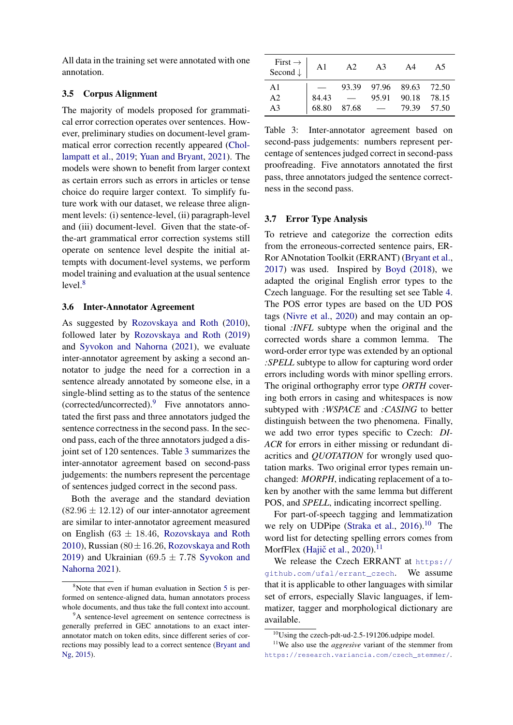All data in the training set were annotated with one annotation.

### 3.5 Corpus Alignment

The majority of models proposed for grammatical error correction operates over sentences. However, preliminary studies on document-level grammatical error correction recently appeared [\(Chol](#page-12-8)[lampatt et al.,](#page-12-8) [2019;](#page-12-8) [Yuan and Bryant,](#page-15-6) [2021\)](#page-15-6). The models were shown to benefit from larger context as certain errors such as errors in articles or tense choice do require larger context. To simplify future work with our dataset, we release three alignment levels: (i) sentence-level, (ii) paragraph-level and (iii) document-level. Given that the state-ofthe-art grammatical error correction systems still operate on sentence level despite the initial attempts with document-level systems, we perform model training and evaluation at the usual sentence  $level<sup>8</sup>$  $level<sup>8</sup>$  $level<sup>8</sup>$ 

#### 3.6 Inter-Annotator Agreement

As suggested by [Rozovskaya and Roth](#page-14-5) [\(2010\)](#page-14-5), followed later by [Rozovskaya and Roth](#page-14-2) [\(2019\)](#page-14-2) and [Syvokon and Nahorna](#page-15-3) [\(2021\)](#page-15-3), we evaluate inter-annotator agreement by asking a second annotator to judge the need for a correction in a sentence already annotated by someone else, in a single-blind setting as to the status of the sentence (corrected/uncorrected).[9](#page-4-1) Five annotators annotated the first pass and three annotators judged the sentence correctness in the second pass. In the second pass, each of the three annotators judged a disjoint set of 120 sentences. Table [3](#page-4-2) summarizes the inter-annotator agreement based on second-pass judgements: the numbers represent the percentage of sentences judged correct in the second pass.

Both the average and the standard deviation  $(82.96 \pm 12.12)$  of our inter-annotator agreement are similar to inter-annotator agreement measured on English ( $63 \pm 18.46$ , [Rozovskaya and Roth](#page-14-5) [2010\)](#page-14-5), Russian (80 $\pm$ 16.26, [Rozovskaya and Roth](#page-14-2) [2019\)](#page-14-2) and Ukrainian (69.5  $\pm$  7.78 [Syvokon and](#page-15-3) [Nahorna](#page-15-3) [2021\)](#page-15-3).

<span id="page-4-2"></span>

| First $\rightarrow$<br>Second $\downarrow$ | A <sub>1</sub> | A2    | A <sup>3</sup>    | A4          | A5          |
|--------------------------------------------|----------------|-------|-------------------|-------------|-------------|
| A <sub>1</sub>                             |                | 93.39 | 97.96 89.63 72.50 |             |             |
| A <sub>2</sub>                             | 84.43          |       | 95.91             | 90.18 78.15 |             |
| A <sup>3</sup>                             | 68.80          | 87.68 |                   |             | 79.39 57.50 |

Table 3: Inter-annotator agreement based on second-pass judgements: numbers represent percentage of sentences judged correct in second-pass proofreading. Five annotators annotated the first pass, three annotators judged the sentence correctness in the second pass.

#### 3.7 Error Type Analysis

To retrieve and categorize the correction edits from the erroneous-corrected sentence pairs, ER-Ror ANnotation Toolkit (ERRANT) [\(Bryant et al.,](#page-12-7) [2017\)](#page-12-7) was used. Inspired by [Boyd](#page-11-0) [\(2018\)](#page-11-0), we adapted the original English error types to the Czech language. For the resulting set see Table [4.](#page-5-0) The POS error types are based on the UD POS tags [\(Nivre et al.,](#page-14-6) [2020\)](#page-14-6) and may contain an optional *:INFL* subtype when the original and the corrected words share a common lemma. The word-order error type was extended by an optional *:SPELL* subtype to allow for capturing word order errors including words with minor spelling errors. The original orthography error type *ORTH* covering both errors in casing and whitespaces is now subtyped with *:WSPACE* and *:CASING* to better distinguish between the two phenomena. Finally, we add two error types specific to Czech: *DI-ACR* for errors in either missing or redundant diacritics and *QUOTATION* for wrongly used quotation marks. Two original error types remain unchanged: *MORPH*, indicating replacement of a token by another with the same lemma but different POS, and *SPELL*, indicating incorrect spelling.

For part-of-speech tagging and lemmatization we rely on UDPipe [\(Straka et al.,](#page-15-5)  $2016$ ).<sup>[10](#page-4-3)</sup> The word list for detecting spelling errors comes from MorfFlex (Hajič et al.,  $2020$ ).<sup>[11](#page-4-4)</sup>

We release the Czech ERRANT at [https://](https://github.com/ufal/errant_czech) [github.com/ufal/errant\\_czech](https://github.com/ufal/errant_czech). We assume that it is applicable to other languages with similar set of errors, especially Slavic languages, if lemmatizer, tagger and morphological dictionary are available.

<span id="page-4-0"></span><sup>&</sup>lt;sup>8</sup>Note that even if human evaluation in Section [5](#page-8-0) is performed on sentence-aligned data, human annotators process whole documents, and thus take the full context into account.

<span id="page-4-1"></span><sup>&</sup>lt;sup>9</sup>A sentence-level agreement on sentence correctness is generally preferred in GEC annotations to an exact interannotator match on token edits, since different series of corrections may possibly lead to a correct sentence [\(Bryant and](#page-12-5) [Ng,](#page-12-5) [2015\)](#page-12-5).

<span id="page-4-4"></span><span id="page-4-3"></span> $10$ Using the czech-pdt-ud-2.5-191206.udpipe model.

<sup>11</sup>We also use the *aggresive* variant of the stemmer from [https://research.variancia.com/czech\\_stemmer/](https://research.variancia.com/czech_stemmer/).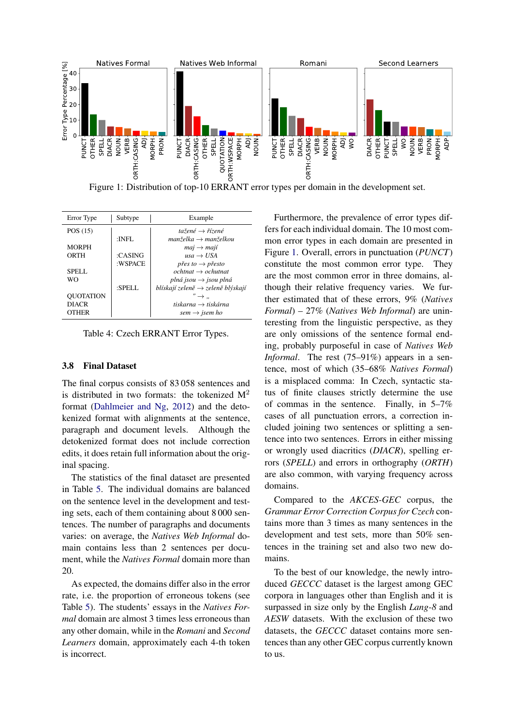<span id="page-5-1"></span>

Figure 1: Distribution of top-10 ERRANT error types per domain in the development set.

<span id="page-5-0"></span>

| Error Type       | Subtype | Example                                       |
|------------------|---------|-----------------------------------------------|
| POS(15)          |         | tažené $\rightarrow$ řízené                   |
|                  | ·INFL   | manželka $\rightarrow$ manželkou              |
| <b>MORPH</b>     |         | $maj \rightarrow maj$                         |
| ORTH             | :CASING | $\mu$ sa $\rightarrow$ USA                    |
|                  | :WSPACE | přes to $\rightarrow$ přesto                  |
| SPELL.           |         | $\omega$ chtnat $\rightarrow \omega$ chutnat  |
| <b>WO</b>        |         | plná jsou $\rightarrow$ jsou plná             |
|                  | :SPELL  | blískají zeleně $\rightarrow$ zeleně blýskají |
| <b>OUOTATION</b> |         | $" \rightarrow .$                             |
| <b>DIACR</b>     |         | tiskarna $\rightarrow$ tiskárna               |
| <b>OTHER</b>     |         | $sem \rightarrow jsem ho$                     |

Table 4: Czech ERRANT Error Types.

### 3.8 Final Dataset

The final corpus consists of 83 058 sentences and is distributed in two formats: the tokenized  $M^2$ format [\(Dahlmeier and Ng,](#page-12-6) [2012\)](#page-12-6) and the detokenized format with alignments at the sentence, paragraph and document levels. Although the detokenized format does not include correction edits, it does retain full information about the original spacing.

The statistics of the final dataset are presented in Table [5.](#page-6-0) The individual domains are balanced on the sentence level in the development and testing sets, each of them containing about 8 000 sentences. The number of paragraphs and documents varies: on average, the *Natives Web Informal* domain contains less than 2 sentences per document, while the *Natives Formal* domain more than 20.

As expected, the domains differ also in the error rate, i.e. the proportion of erroneous tokens (see Table [5\)](#page-6-0). The students' essays in the *Natives Formal* domain are almost 3 times less erroneous than any other domain, while in the *Romani* and *Second Learners* domain, approximately each 4-th token is incorrect.

Furthermore, the prevalence of error types differs for each individual domain. The 10 most common error types in each domain are presented in Figure [1.](#page-5-1) Overall, errors in punctuation (*PUNCT*) constitute the most common error type. They are the most common error in three domains, although their relative frequency varies. We further estimated that of these errors, 9% (*Natives Formal*) – 27% (*Natives Web Informal*) are uninteresting from the linguistic perspective, as they are only omissions of the sentence formal ending, probably purposeful in case of *Natives Web Informal.* The rest (75–91%) appears in a sentence, most of which (35–68% *Natives Formal*) is a misplaced comma: In Czech, syntactic status of finite clauses strictly determine the use of commas in the sentence. Finally, in 5–7% cases of all punctuation errors, a correction included joining two sentences or splitting a sentence into two sentences. Errors in either missing or wrongly used diacritics (*DIACR*), spelling errors (*SPELL*) and errors in orthography (*ORTH*) are also common, with varying frequency across domains.

Compared to the *AKCES-GEC* corpus, the *Grammar Error Correction Corpus for Czech* contains more than 3 times as many sentences in the development and test sets, more than 50% sentences in the training set and also two new domains.

To the best of our knowledge, the newly introduced *GECCC* dataset is the largest among GEC corpora in languages other than English and it is surpassed in size only by the English *Lang-8* and *AESW* datasets. With the exclusion of these two datasets, the *GECCC* dataset contains more sentences than any other GEC corpus currently known to us.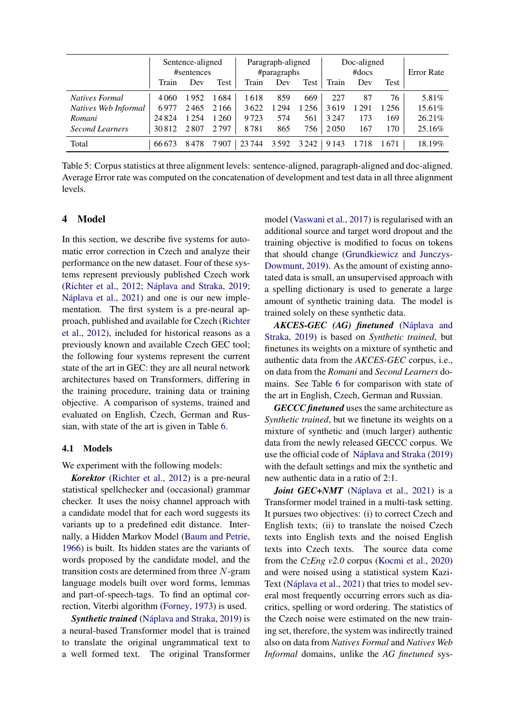<span id="page-6-0"></span>

|                        | Sentence-aligned<br>#sentences |         | Paragraph-aligned<br>#paragraphs |       |       | Doc-aligned<br>$#$ docs |         |       | <b>Error</b> Rate |        |
|------------------------|--------------------------------|---------|----------------------------------|-------|-------|-------------------------|---------|-------|-------------------|--------|
|                        | Train                          | Dev     | Test                             | Train | Dev   | Test                    | Train   | Dev   | Test              |        |
| <b>Natives Formal</b>  | 4060                           | 1952    | 1684                             | 1618  | 859   | 669                     | 227     | 87    | 76                | 5.81%  |
| Natives Web Informal   | 6977                           | 2465    | 2166                             | 3622  | 1 294 | 1 256                   | 3619    | 1 291 | 1 256             | 15.61% |
| Romani                 | 24824                          | 1 2 5 4 | 1 260                            | 9723  | 574   | 561                     | 3 2 4 7 | 173   | 169               | 26.21% |
| <b>Second Learners</b> | 30812                          | 2807    | 2797                             | 8781  | 865   | 756                     | 2050    | 167   | 170               | 25.16% |
| Total                  | 66 673                         | 8478    | 7907                             | 23744 | 3592  | 3 2 4 2                 | 9 1 4 3 | 1718  | 1671              | 18.19% |

Table 5: Corpus statistics at three alignment levels: sentence-aligned, paragraph-aligned and doc-aligned. Average Error rate was computed on the concatenation of development and test data in all three alignment levels.

### <span id="page-6-2"></span>4 Model

In this section, we describe five systems for automatic error correction in Czech and analyze their performance on the new dataset. Four of these systems represent previously published Czech work [\(Richter et al.,](#page-14-7) [2012;](#page-14-7) [Náplava and Straka,](#page-13-0) [2019;](#page-13-0) [Náplava et al.,](#page-13-7) [2021\)](#page-13-7) and one is our new implementation. The first system is a pre-neural approach, published and available for Czech [\(Richter](#page-14-7) [et al.,](#page-14-7) [2012\)](#page-14-7), included for historical reasons as a previously known and available Czech GEC tool; the following four systems represent the current state of the art in GEC: they are all neural network architectures based on Transformers, differing in the training procedure, training data or training objective. A comparison of systems, trained and evaluated on English, Czech, German and Russian, with state of the art is given in Table [6.](#page-7-0)

#### <span id="page-6-1"></span>4.1 Models

We experiment with the following models:

*Korektor* [\(Richter et al.,](#page-14-7) [2012\)](#page-14-7) is a pre-neural statistical spellchecker and (occasional) grammar checker. It uses the noisy channel approach with a candidate model that for each word suggests its variants up to a predefined edit distance. Internally, a Hidden Markov Model [\(Baum and Petrie,](#page-11-5) [1966\)](#page-11-5) is built. Its hidden states are the variants of words proposed by the candidate model, and the transition costs are determined from three N-gram language models built over word forms, lemmas and part-of-speech-tags. To find an optimal correction, Viterbi algorithm [\(Forney,](#page-12-9) [1973\)](#page-12-9) is used.

*Synthetic trained* [\(Náplava and Straka,](#page-13-0) [2019\)](#page-13-0) is a neural-based Transformer model that is trained to translate the original ungrammatical text to a well formed text. The original Transformer model [\(Vaswani et al.,](#page-15-7) [2017\)](#page-15-7) is regularised with an additional source and target word dropout and the training objective is modified to focus on tokens that should change [\(Grundkiewicz and Junczys-](#page-13-8)[Dowmunt,](#page-13-8) [2019\)](#page-13-8). As the amount of existing annotated data is small, an unsupervised approach with a spelling dictionary is used to generate a large amount of synthetic training data. The model is trained solely on these synthetic data.

*AKCES-GEC (AG) finetuned* [\(Náplava and](#page-13-0) [Straka,](#page-13-0) [2019\)](#page-13-0) is based on *Synthetic trained*, but finetunes its weights on a mixture of synthetic and authentic data from the *AKCES-GEC* corpus, i.e., on data from the *Romani* and *Second Learners* domains. See Table [6](#page-7-0) for comparison with state of the art in English, Czech, German and Russian.

*GECCC finetuned* uses the same architecture as *Synthetic trained*, but we finetune its weights on a mixture of synthetic and (much larger) authentic data from the newly released GECCC corpus. We use the official code of [Náplava and Straka](#page-13-0) [\(2019\)](#page-13-0) with the default settings and mix the synthetic and new authentic data in a ratio of 2:1.

*Joint GEC+NMT* [\(Náplava et al.,](#page-13-7) [2021\)](#page-13-7) is a Transformer model trained in a multi-task setting. It pursues two objectives: (i) to correct Czech and English texts; (ii) to translate the noised Czech texts into English texts and the noised English texts into Czech texts. The source data come from the *CzEng v2.0* corpus [\(Kocmi et al.,](#page-13-9) [2020\)](#page-13-9) and were noised using a statistical system Kazi-Text [\(Náplava et al.,](#page-13-7) [2021\)](#page-13-7) that tries to model several most frequently occurring errors such as diacritics, spelling or word ordering. The statistics of the Czech noise were estimated on the new training set, therefore, the system was indirectly trained also on data from *Natives Formal* and *Natives Web Informal* domains, unlike the *AG finetuned* sys-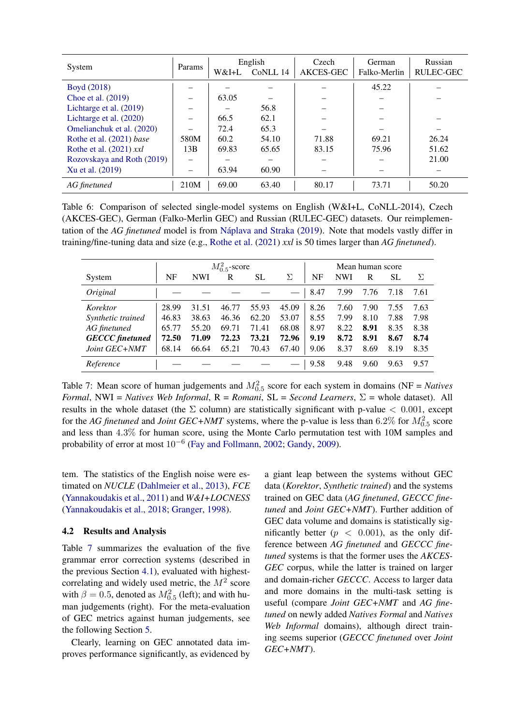<span id="page-7-0"></span>

|                            |        | English |          | Czech     | German       | Russian   |
|----------------------------|--------|---------|----------|-----------|--------------|-----------|
| System                     | Params | $W&I+L$ | CoNLL 14 | AKCES-GEC | Falko-Merlin | RULEC-GEC |
| Boyd (2018)                |        |         |          |           | 45.22        |           |
| Choe et al. (2019)         |        | 63.05   |          |           |              |           |
| Lichtarge et al. (2019)    |        |         | 56.8     |           |              |           |
| Lichtarge et al. (2020)    |        | 66.5    | 62.1     |           |              |           |
| Omelianchuk et al. (2020)  |        | 72.4    | 65.3     |           |              |           |
| Rothe et al. (2021) base   | 580M   | 60.2    | 54.10    | 71.88     | 69.21        | 26.24     |
| Rothe et al. $(2021)$ xxl  | 13B    | 69.83   | 65.65    | 83.15     | 75.96        | 51.62     |
| Rozovskaya and Roth (2019) |        |         |          |           |              | 21.00     |
| Xu et al. (2019)           |        | 63.94   | 60.90    |           |              |           |
| AG finetuned               | 210M   | 69.00   | 63.40    | 80.17     | 73.71        | 50.20     |

Table 6: Comparison of selected single-model systems on English (W&I+L, CoNLL-2014), Czech (AKCES-GEC), German (Falko-Merlin GEC) and Russian (RULEC-GEC) datasets. Our reimplementation of the *AG finetuned* model is from [Náplava and Straka](#page-13-0) [\(2019\)](#page-13-0). Note that models vastly differ in training/fine-tuning data and size (e.g., [Rothe et al.](#page-14-9) [\(2021\)](#page-14-9) *xxl* is 50 times larger than *AG finetuned*).

<span id="page-7-1"></span>

|                        |       | $M_{0.5}^2$ -score |       |       |       |      | Mean human score |      |      |      |
|------------------------|-------|--------------------|-------|-------|-------|------|------------------|------|------|------|
| System                 | NF    | <b>NWI</b>         | R     | SL    | Σ     | NF   | <b>NWI</b>       | R    | SL   | Σ    |
| Original               |       |                    |       |       |       | 8.47 | 7.99             | 7.76 | 7.18 | 7.61 |
| Korektor               | 28.99 | 31.51              | 46.77 | 55.93 | 45.09 | 8.26 | 7.60             | 7.90 | 7.55 | 7.63 |
| Synthetic trained      | 46.83 | 38.63              | 46.36 | 62.20 | 53.07 | 8.55 | 7.99             | 8.10 | 7.88 | 7.98 |
| AG finetuned           | 65.77 | 55.20              | 69.71 | 71.41 | 68.08 | 8.97 | 8.22             | 8.91 | 8.35 | 8.38 |
| <b>GECCC</b> finetuned | 72.50 | 71.09              | 72.23 | 73.21 | 72.96 | 9.19 | 8.72             | 8.91 | 8.67 | 8.74 |
| Joint GEC+NMT          | 68.14 | 66.64              | 65.21 | 70.43 | 67.40 | 9.06 | 8.37             | 8.69 | 8.19 | 8.35 |
| Reference              |       |                    |       |       |       | 9.58 | 9.48             | 9.60 | 9.63 | 9.57 |

Table 7: Mean score of human judgements and  $M_{0.5}^2$  score for each system in domains (NF = *Natives Formal*, NWI = *Natives Web Informal*,  $R =$  *Romani*,  $SL =$  *Second Learners*,  $\Sigma =$  whole dataset). All results in the whole dataset (the  $\Sigma$  column) are statistically significant with p-value  $\langle 0.001,$  except for the *AG finetuned* and *Joint GEC+NMT* systems, where the p-value is less than  $6.2\%$  for  $M_{0.5}^2$  score and less than 4.3% for human score, using the Monte Carlo permutation test with 10M samples and probability of error at most  $10^{-6}$  [\(Fay and Follmann,](#page-12-11) [2002;](#page-12-11) [Gandy,](#page-12-12) [2009\)](#page-12-12).

tem. The statistics of the English noise were estimated on *NUCLE* [\(Dahlmeier et al.,](#page-12-0) [2013\)](#page-12-0), *FCE* [\(Yannakoudakis et al.,](#page-15-1) [2011\)](#page-15-1) and *W&I+LOCNESS* [\(Yannakoudakis et al.,](#page-15-2) [2018;](#page-15-2) [Granger,](#page-13-2) [1998\)](#page-13-2).

### 4.2 Results and Analysis

Table [7](#page-7-1) summarizes the evaluation of the five grammar error correction systems (described in the previous Section [4.1\)](#page-6-1), evaluated with highestcorrelating and widely used metric, the  $M^2$  score with  $\beta = 0.5$ , denoted as  $M_{0.5}^2$  (left); and with human judgements (right). For the meta-evaluation of GEC metrics against human judgements, see the following Section [5.](#page-8-0)

Clearly, learning on GEC annotated data improves performance significantly, as evidenced by

a giant leap between the systems without GEC data (*Korektor*, *Synthetic trained*) and the systems trained on GEC data (*AG finetuned*, *GECCC finetuned* and *Joint GEC+NMT*). Further addition of GEC data volume and domains is statistically significantly better  $(p < 0.001)$ , as the only difference between *AG finetuned* and *GECCC finetuned* systems is that the former uses the *AKCES-GEC* corpus, while the latter is trained on larger and domain-richer *GECCC*. Access to larger data and more domains in the multi-task setting is useful (compare *Joint GEC+NMT* and *AG finetuned* on newly added *Natives Formal* and *Natives Web Informal* domains), although direct training seems superior (*GECCC finetuned* over *Joint GEC+NMT*).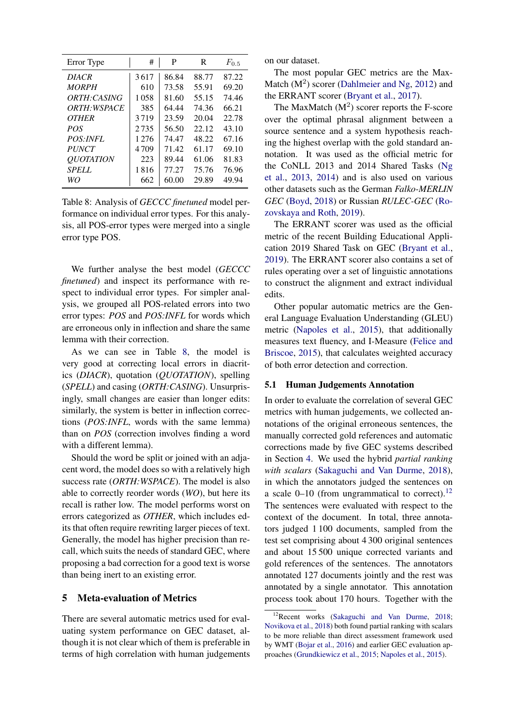<span id="page-8-1"></span>

| Error Type                | #       | P     | R     | $F_{0.5}$ |
|---------------------------|---------|-------|-------|-----------|
| <b>DIACR</b>              | 3617    | 86.84 | 88.77 | 87.22     |
| <b>MORPH</b>              | 610     | 73.58 | 55.91 | 69.20     |
| ORTH: CASING              | 1058    | 81.60 | 55.15 | 74.46     |
| <i><b>ORTH:WSPACE</b></i> | 385     | 64.44 | 74.36 | 66.21     |
| <b>OTHER</b>              | 3719    | 23.59 | 20.04 | 22.78     |
| POS                       | 2735    | 56.50 | 22.12 | 43.10     |
| POS: INFL                 | 1 2 7 6 | 74.47 | 48.22 | 67.16     |
| <b>PUNCT</b>              | 4709    | 71.42 | 61.17 | 69.10     |
| <b>OUOTATION</b>          | 223     | 89.44 | 61.06 | 81.83     |
| <b>SPELL</b>              | 1816    | 77.27 | 75.76 | 76.96     |
| WO                        | 662     | 60.00 | 29.89 | 49.94     |

Table 8: Analysis of *GECCC finetuned* model performance on individual error types. For this analysis, all POS-error types were merged into a single error type POS.

We further analyse the best model (*GECCC finetuned*) and inspect its performance with respect to individual error types. For simpler analysis, we grouped all POS-related errors into two error types: *POS* and *POS:INFL* for words which are erroneous only in inflection and share the same lemma with their correction.

As we can see in Table [8,](#page-8-1) the model is very good at correcting local errors in diacritics (*DIACR*), quotation (*QUOTATION*), spelling (*SPELL*) and casing (*ORTH:CASING*). Unsurprisingly, small changes are easier than longer edits: similarly, the system is better in inflection corrections (*POS:INFL*, words with the same lemma) than on *POS* (correction involves finding a word with a different lemma).

Should the word be split or joined with an adjacent word, the model does so with a relatively high success rate (*ORTH:WSPACE*). The model is also able to correctly reorder words (*WO*), but here its recall is rather low. The model performs worst on errors categorized as *OTHER*, which includes edits that often require rewriting larger pieces of text. Generally, the model has higher precision than recall, which suits the needs of standard GEC, where proposing a bad correction for a good text is worse than being inert to an existing error.

# <span id="page-8-0"></span>5 Meta-evaluation of Metrics

There are several automatic metrics used for evaluating system performance on GEC dataset, although it is not clear which of them is preferable in terms of high correlation with human judgements on our dataset.

The most popular GEC metrics are the Max-Match  $(M<sup>2</sup>)$  scorer [\(Dahlmeier and Ng,](#page-12-6) [2012\)](#page-12-6) and the ERRANT scorer [\(Bryant et al.,](#page-12-7) [2017\)](#page-12-7).

The MaxMatch  $(M<sup>2</sup>)$  scorer reports the F-score over the optimal phrasal alignment between a source sentence and a system hypothesis reaching the highest overlap with the gold standard annotation. It was used as the official metric for the CoNLL 2013 and 2014 Shared Tasks [\(Ng](#page-14-10) [et al.,](#page-14-10) [2013,](#page-14-10) [2014\)](#page-14-0) and is also used on various other datasets such as the German *Falko-MERLIN GEC* [\(Boyd,](#page-11-0) [2018\)](#page-11-0) or Russian *RULEC-GEC* [\(Ro](#page-14-2)[zovskaya and Roth,](#page-14-2) [2019\)](#page-14-2).

The ERRANT scorer was used as the official metric of the recent Building Educational Application 2019 Shared Task on GEC [\(Bryant et al.,](#page-11-1) [2019\)](#page-11-1). The ERRANT scorer also contains a set of rules operating over a set of linguistic annotations to construct the alignment and extract individual edits.

Other popular automatic metrics are the General Language Evaluation Understanding (GLEU) metric [\(Napoles et al.,](#page-13-12) [2015\)](#page-13-12), that additionally measures text fluency, and I-Measure [\(Felice and](#page-12-13) [Briscoe,](#page-12-13) [2015\)](#page-12-13), that calculates weighted accuracy of both error detection and correction.

#### 5.1 Human Judgements Annotation

In order to evaluate the correlation of several GEC metrics with human judgements, we collected annotations of the original erroneous sentences, the manually corrected gold references and automatic corrections made by five GEC systems described in Section [4.](#page-6-2) We used the hybrid *partial ranking with scalars* [\(Sakaguchi and Van Durme,](#page-14-11) [2018\)](#page-14-11), in which the annotators judged the sentences on a scale  $0-10$  (from ungrammatical to correct).<sup>[12](#page-8-2)</sup> The sentences were evaluated with respect to the context of the document. In total, three annotators judged 1 100 documents, sampled from the test set comprising about 4 300 original sentences and about 15 500 unique corrected variants and gold references of the sentences. The annotators annotated 127 documents jointly and the rest was annotated by a single annotator. This annotation process took about 170 hours. Together with the

<span id="page-8-2"></span><sup>&</sup>lt;sup>12</sup>Recent works [\(Sakaguchi and Van Durme,](#page-14-11) [2018;](#page-14-11) [Novikova et al.,](#page-14-12) [2018\)](#page-14-12) both found partial ranking with scalars to be more reliable than direct assessment framework used by WMT [\(Bojar et al.,](#page-11-6) [2016\)](#page-11-6) and earlier GEC evaluation approaches [\(Grundkiewicz et al.,](#page-13-13) [2015;](#page-13-13) [Napoles et al.,](#page-13-12) [2015\)](#page-13-12).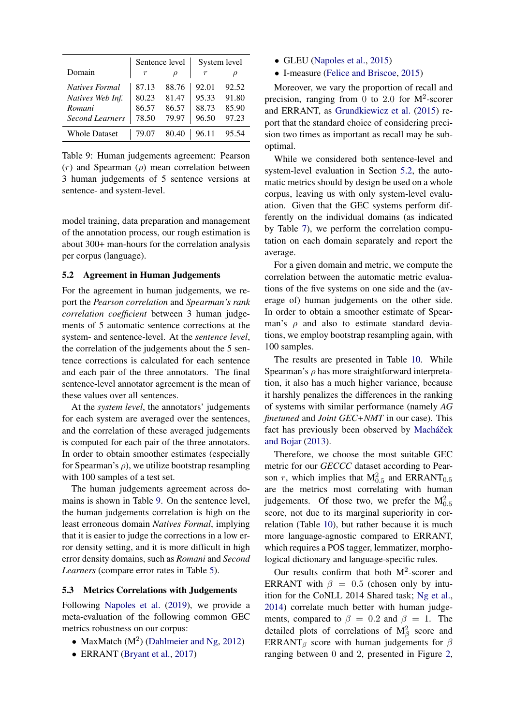<span id="page-9-0"></span>

|                        |       | Sentence level | System level |       |  |
|------------------------|-------|----------------|--------------|-------|--|
| Domain                 | r     | $\rho$         | r            |       |  |
| <b>Natives Formal</b>  | 87.13 | 88.76          | 92.01        | 92.52 |  |
| Natives Web Inf.       | 80.23 | 81.47          | 95.33        | 91.80 |  |
| Romani                 | 86.57 | 86.57          | 88.73        | 85.90 |  |
| <b>Second Learners</b> | 78.50 | 79.97          | 96.50        | 97.23 |  |
| <b>Whole Dataset</b>   | 79.07 | 80.40          | 96.11        | 95.54 |  |

Table 9: Human judgements agreement: Pearson  $(r)$  and Spearman  $(\rho)$  mean correlation between 3 human judgements of 5 sentence versions at sentence- and system-level.

model training, data preparation and management of the annotation process, our rough estimation is about 300+ man-hours for the correlation analysis per corpus (language).

#### <span id="page-9-1"></span>5.2 Agreement in Human Judgements

For the agreement in human judgements, we report the *Pearson correlation* and *Spearman's rank correlation coefficient* between 3 human judgements of 5 automatic sentence corrections at the system- and sentence-level. At the *sentence level*, the correlation of the judgements about the 5 sentence corrections is calculated for each sentence and each pair of the three annotators. The final sentence-level annotator agreement is the mean of these values over all sentences.

At the *system level*, the annotators' judgements for each system are averaged over the sentences, and the correlation of these averaged judgements is computed for each pair of the three annotators. In order to obtain smoother estimates (especially for Spearman's  $\rho$ ), we utilize bootstrap resampling with 100 samples of a test set.

The human judgements agreement across domains is shown in Table [9.](#page-9-0) On the sentence level, the human judgements correlation is high on the least erroneous domain *Natives Formal*, implying that it is easier to judge the corrections in a low error density setting, and it is more difficult in high error density domains, such as *Romani* and *Second Learners* (compare error rates in Table [5\)](#page-6-0).

#### 5.3 Metrics Correlations with Judgements

Following [Napoles et al.](#page-13-1) [\(2019\)](#page-13-1), we provide a meta-evaluation of the following common GEC metrics robustness on our corpus:

- MaxMatch  $(M<sup>2</sup>)$  [\(Dahlmeier and Ng,](#page-12-6) [2012\)](#page-12-6)
- ERRANT [\(Bryant et al.,](#page-12-7) [2017\)](#page-12-7)
- GLEU [\(Napoles et al.,](#page-13-12) [2015\)](#page-13-12)
- I-measure [\(Felice and Briscoe,](#page-12-13) [2015\)](#page-12-13)

Moreover, we vary the proportion of recall and precision, ranging from 0 to 2.0 for  $M^2$ -scorer and ERRANT, as [Grundkiewicz et al.](#page-13-13) [\(2015\)](#page-13-13) report that the standard choice of considering precision two times as important as recall may be suboptimal.

While we considered both sentence-level and system-level evaluation in Section [5.2,](#page-9-1) the automatic metrics should by design be used on a whole corpus, leaving us with only system-level evaluation. Given that the GEC systems perform differently on the individual domains (as indicated by Table [7\)](#page-7-1), we perform the correlation computation on each domain separately and report the average.

For a given domain and metric, we compute the correlation between the automatic metric evaluations of the five systems on one side and the (average of) human judgements on the other side. In order to obtain a smoother estimate of Spearman's  $\rho$  and also to estimate standard deviations, we employ bootstrap resampling again, with 100 samples.

The results are presented in Table [10.](#page-10-0) While Spearman's  $\rho$  has more straightforward interpretation, it also has a much higher variance, because it harshly penalizes the differences in the ranking of systems with similar performance (namely *AG finetuned* and *Joint GEC+NMT* in our case). This fact has previously been observed by Macháček [and Bojar](#page-13-14) [\(2013\)](#page-13-14).

Therefore, we choose the most suitable GEC metric for our *GECCC* dataset according to Pearson r, which implies that  $M_{0.5}^2$  and ERRANT<sub>0.5</sub> are the metrics most correlating with human judgements. Of those two, we prefer the  $M_{0.5}^2$ score, not due to its marginal superiority in correlation (Table [10\)](#page-10-0), but rather because it is much more language-agnostic compared to ERRANT, which requires a POS tagger, lemmatizer, morphological dictionary and language-specific rules.

Our results confirm that both  $M^2$ -scorer and ERRANT with  $\beta = 0.5$  (chosen only by intuition for the CoNLL 2014 Shared task; [Ng et al.,](#page-14-0) [2014\)](#page-14-0) correlate much better with human judgements, compared to  $\beta = 0.2$  and  $\beta = 1$ . The detailed plots of correlations of  $M_{\beta}^2$  score and ERRANT<sub>β</sub> score with human judgements for  $\beta$ ranging between 0 and 2, presented in Figure [2,](#page-10-1)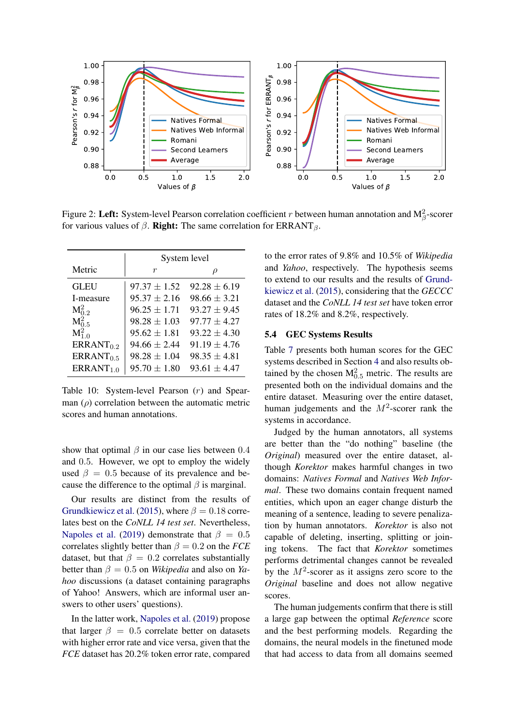<span id="page-10-1"></span>

Figure 2: Left: System-level Pearson correlation coefficient r between human annotation and  $M_{\beta}^2$ -scorer for various values of  $β$ . Right: The same correlation for ERRANT<sub>β</sub>.

<span id="page-10-0"></span>

|                              | System level     |                  |  |  |  |  |  |
|------------------------------|------------------|------------------|--|--|--|--|--|
| Metric                       | r                | $\mu$            |  |  |  |  |  |
| GLEU                         | $97.37 \pm 1.52$ | $92.28 \pm 6.19$ |  |  |  |  |  |
| I-measure                    | $95.37 \pm 2.16$ | $98.66 \pm 3.21$ |  |  |  |  |  |
| $M_0^2$ <sub>2</sub>         | $96.25 \pm 1.71$ | $93.27 + 9.45$   |  |  |  |  |  |
| $M_0^2$ 5                    | $98.28 \pm 1.03$ | $97.77 \pm 4.27$ |  |  |  |  |  |
| M <sub>10</sub> <sup>2</sup> | $95.62 \pm 1.81$ | $93.22 \pm 4.30$ |  |  |  |  |  |
| ERRANT <sub>0.2</sub>        | $94.66 \pm 2.44$ | $91.19 \pm 4.76$ |  |  |  |  |  |
| ERRANT <sub>0.5</sub>        | $98.28 \pm 1.04$ | $98.35 \pm 4.81$ |  |  |  |  |  |
| ERRANT <sub>1.0</sub>        | $95.70 \pm 1.80$ | $93.61 \pm 4.47$ |  |  |  |  |  |

Table 10: System-level Pearson (r) and Spearman  $(\rho)$  correlation between the automatic metric scores and human annotations.

show that optimal  $\beta$  in our case lies between 0.4 and 0.5. However, we opt to employ the widely used  $\beta = 0.5$  because of its prevalence and because the difference to the optimal  $\beta$  is marginal.

Our results are distinct from the results of [Grundkiewicz et al.](#page-13-13) [\(2015\)](#page-13-13), where  $\beta = 0.18$  correlates best on the *CoNLL 14 test set*. Nevertheless, [Napoles et al.](#page-13-1) [\(2019\)](#page-13-1) demonstrate that  $\beta = 0.5$ correlates slightly better than  $\beta = 0.2$  on the *FCE* dataset, but that  $\beta = 0.2$  correlates substantially better than  $\beta = 0.5$  on *Wikipedia* and also on *Yahoo* discussions (a dataset containing paragraphs of Yahoo! Answers, which are informal user answers to other users' questions).

In the latter work, [Napoles et al.](#page-13-1) [\(2019\)](#page-13-1) propose that larger  $\beta = 0.5$  correlate better on datasets with higher error rate and vice versa, given that the *FCE* dataset has 20.2% token error rate, compared to the error rates of 9.8% and 10.5% of *Wikipedia* and *Yahoo*, respectively. The hypothesis seems to extend to our results and the results of [Grund](#page-13-13)[kiewicz et al.](#page-13-13) [\(2015\)](#page-13-13), considering that the *GECCC* dataset and the *CoNLL 14 test set* have token error rates of 18.2% and 8.2%, respectively.

### 5.4 GEC Systems Results

Table [7](#page-7-1) presents both human scores for the GEC systems described in Section [4](#page-6-2) and also results obtained by the chosen  $M_{0.5}^2$  metric. The results are presented both on the individual domains and the entire dataset. Measuring over the entire dataset, human judgements and the  $M^2$ -scorer rank the systems in accordance.

Judged by the human annotators, all systems are better than the "do nothing" baseline (the *Original*) measured over the entire dataset, although *Korektor* makes harmful changes in two domains: *Natives Formal* and *Natives Web Informal*. These two domains contain frequent named entities, which upon an eager change disturb the meaning of a sentence, leading to severe penalization by human annotators. *Korektor* is also not capable of deleting, inserting, splitting or joining tokens. The fact that *Korektor* sometimes performs detrimental changes cannot be revealed by the  $M^2$ -scorer as it assigns zero score to the *Original* baseline and does not allow negative scores.

The human judgements confirm that there is still a large gap between the optimal *Reference* score and the best performing models. Regarding the domains, the neural models in the finetuned mode that had access to data from all domains seemed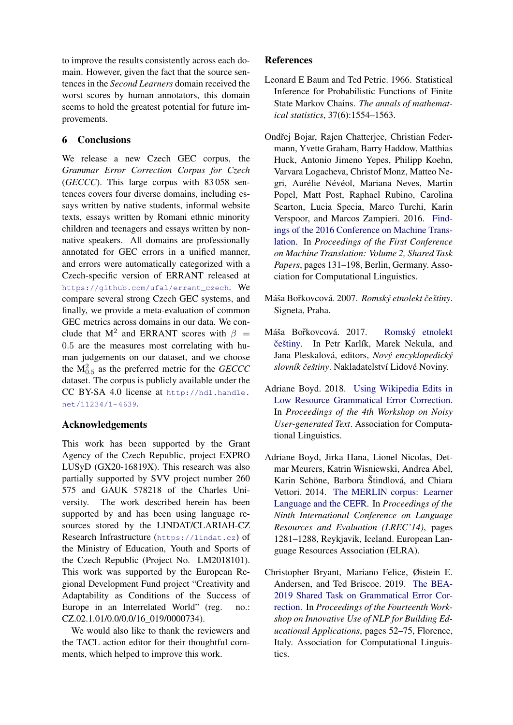to improve the results consistently across each domain. However, given the fact that the source sentences in the *Second Learners* domain received the worst scores by human annotators, this domain seems to hold the greatest potential for future improvements.

# 6 Conclusions

We release a new Czech GEC corpus, the *Grammar Error Correction Corpus for Czech* (*GECCC*). This large corpus with 83 058 sentences covers four diverse domains, including essays written by native students, informal website texts, essays written by Romani ethnic minority children and teenagers and essays written by nonnative speakers. All domains are professionally annotated for GEC errors in a unified manner, and errors were automatically categorized with a Czech-specific version of ERRANT released at [https://github.com/ufal/errant\\_czech](https://github.com/ufal/errant_czech). We compare several strong Czech GEC systems, and finally, we provide a meta-evaluation of common GEC metrics across domains in our data. We conclude that M<sup>2</sup> and ERRANT scores with  $\beta$  = 0.5 are the measures most correlating with human judgements on our dataset, and we choose the  $M_{0.5}^2$  as the preferred metric for the *GECCC* dataset. The corpus is publicly available under the CC BY-SA 4.0 license at [http://hdl.handle.](http://hdl.handle.net/11234/1-4639) [net/11234/1-4639](http://hdl.handle.net/11234/1-4639).

# Acknowledgements

This work has been supported by the Grant Agency of the Czech Republic, project EXPRO LUSyD (GX20-16819X). This research was also partially supported by SVV project number 260 575 and GAUK 578218 of the Charles University. The work described herein has been supported by and has been using language resources stored by the LINDAT/CLARIAH-CZ Research Infrastructure (<https://lindat.cz>) of the Ministry of Education, Youth and Sports of the Czech Republic (Project No. LM2018101). This work was supported by the European Regional Development Fund project "Creativity and Adaptability as Conditions of the Success of Europe in an Interrelated World" (reg. no.: CZ.02.1.01/0.0/0.0/16\_019/0000734).

We would also like to thank the reviewers and the TACL action editor for their thoughtful comments, which helped to improve this work.

# References

- <span id="page-11-5"></span>Leonard E Baum and Ted Petrie. 1966. Statistical Inference for Probabilistic Functions of Finite State Markov Chains. *The annals of mathematical statistics*, 37(6):1554–1563.
- <span id="page-11-6"></span>Ondřej Bojar, Rajen Chatterjee, Christian Federmann, Yvette Graham, Barry Haddow, Matthias Huck, Antonio Jimeno Yepes, Philipp Koehn, Varvara Logacheva, Christof Monz, Matteo Negri, Aurélie Névéol, Mariana Neves, Martin Popel, Matt Post, Raphael Rubino, Carolina Scarton, Lucia Specia, Marco Turchi, Karin Verspoor, and Marcos Zampieri. 2016. [Find](https://doi.org/10.18653/v1/W16-2301)[ings of the 2016 Conference on Machine Trans](https://doi.org/10.18653/v1/W16-2301)[lation.](https://doi.org/10.18653/v1/W16-2301) In *Proceedings of the First Conference on Machine Translation: Volume 2, Shared Task Papers*, pages 131–198, Berlin, Germany. Association for Computational Linguistics.
- <span id="page-11-2"></span>Máša Boˇrkovcová. 2007. *Romský etnolekt ˇceštiny*. Signeta, Praha.
- <span id="page-11-3"></span>Máša Bořkovcová. 2017. [Romský etnolekt](https://www.czechency.org/slovnik/ROMSK%C3%9D%20ETNOLEKT%20%C4%8CE%C5%A0TINY) češtiny. In Petr Karlík, Marek Nekula, and Jana Pleskalová, editors, *Nový encyklopedický slovník ˇceštiny*. Nakladatelství Lidové Noviny.
- <span id="page-11-0"></span>Adriane Boyd. 2018. [Using Wikipedia Edits in](http://aclweb.org/anthology/W18-6111) [Low Resource Grammatical Error Correction.](http://aclweb.org/anthology/W18-6111) In *Proceedings of the 4th Workshop on Noisy User-generated Text*. Association for Computational Linguistics.
- <span id="page-11-4"></span>Adriane Boyd, Jirka Hana, Lionel Nicolas, Detmar Meurers, Katrin Wisniewski, Andrea Abel, Karin Schöne, Barbora Štindlová, and Chiara Vettori. 2014. [The MERLIN corpus: Learner](http://www.lrec-conf.org/proceedings/lrec2014/pdf/606_Paper.pdf) [Language and the CEFR.](http://www.lrec-conf.org/proceedings/lrec2014/pdf/606_Paper.pdf) In *Proceedings of the Ninth International Conference on Language Resources and Evaluation (LREC'14)*, pages 1281–1288, Reykjavik, Iceland. European Language Resources Association (ELRA).
- <span id="page-11-1"></span>Christopher Bryant, Mariano Felice, Øistein E. Andersen, and Ted Briscoe. 2019. [The BEA-](https://doi.org/10.18653/v1/W19-4406)[2019 Shared Task on Grammatical Error Cor](https://doi.org/10.18653/v1/W19-4406)[rection.](https://doi.org/10.18653/v1/W19-4406) In *Proceedings of the Fourteenth Workshop on Innovative Use of NLP for Building Educational Applications*, pages 52–75, Florence, Italy. Association for Computational Linguistics.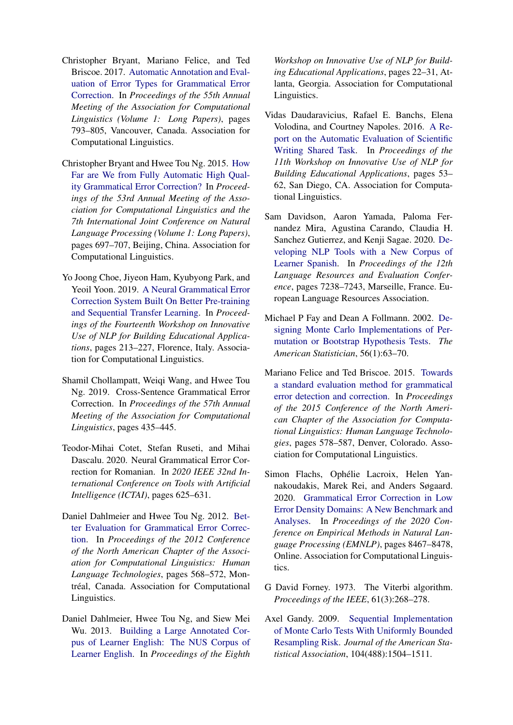- <span id="page-12-7"></span>Christopher Bryant, Mariano Felice, and Ted Briscoe. 2017. [Automatic Annotation and Eval](https://doi.org/10.18653/v1/P17-1074)[uation of Error Types for Grammatical Error](https://doi.org/10.18653/v1/P17-1074) [Correction.](https://doi.org/10.18653/v1/P17-1074) In *Proceedings of the 55th Annual Meeting of the Association for Computational Linguistics (Volume 1: Long Papers)*, pages 793–805, Vancouver, Canada. Association for Computational Linguistics.
- <span id="page-12-5"></span>Christopher Bryant and Hwee Tou Ng. 2015. [How](https://www.aclweb.org/anthology/P15-1068) [Far are We from Fully Automatic High Qual](https://www.aclweb.org/anthology/P15-1068)[ity Grammatical Error Correction?](https://www.aclweb.org/anthology/P15-1068) In *Proceedings of the 53rd Annual Meeting of the Association for Computational Linguistics and the 7th International Joint Conference on Natural Language Processing (Volume 1: Long Papers)*, pages 697–707, Beijing, China. Association for Computational Linguistics.
- <span id="page-12-10"></span>Yo Joong Choe, Jiyeon Ham, Kyubyong Park, and Yeoil Yoon. 2019. [A Neural Grammatical Error](https://doi.org/10.18653/v1/W19-4423) [Correction System Built On Better Pre-training](https://doi.org/10.18653/v1/W19-4423) [and Sequential Transfer Learning.](https://doi.org/10.18653/v1/W19-4423) In *Proceedings of the Fourteenth Workshop on Innovative Use of NLP for Building Educational Applications*, pages 213–227, Florence, Italy. Association for Computational Linguistics.
- <span id="page-12-8"></span>Shamil Chollampatt, Weiqi Wang, and Hwee Tou Ng. 2019. Cross-Sentence Grammatical Error Correction. In *Proceedings of the 57th Annual Meeting of the Association for Computational Linguistics*, pages 435–445.
- <span id="page-12-3"></span>Teodor-Mihai Cotet, Stefan Ruseti, and Mihai Dascalu. 2020. Neural Grammatical Error Correction for Romanian. In *2020 IEEE 32nd International Conference on Tools with Artificial Intelligence (ICTAI)*, pages 625–631.
- <span id="page-12-6"></span>Daniel Dahlmeier and Hwee Tou Ng. 2012. [Bet](https://www.aclweb.org/anthology/N12-1067)[ter Evaluation for Grammatical Error Correc](https://www.aclweb.org/anthology/N12-1067)[tion.](https://www.aclweb.org/anthology/N12-1067) In *Proceedings of the 2012 Conference of the North American Chapter of the Association for Computational Linguistics: Human Language Technologies*, pages 568–572, Montréal, Canada. Association for Computational Linguistics.
- <span id="page-12-0"></span>Daniel Dahlmeier, Hwee Tou Ng, and Siew Mei Wu. 2013. [Building a Large Annotated Cor](https://www.aclweb.org/anthology/W13-1703)[pus of Learner English: The NUS Corpus of](https://www.aclweb.org/anthology/W13-1703) [Learner English.](https://www.aclweb.org/anthology/W13-1703) In *Proceedings of the Eighth*

*Workshop on Innovative Use of NLP for Building Educational Applications*, pages 22–31, Atlanta, Georgia. Association for Computational Linguistics.

- <span id="page-12-4"></span>Vidas Daudaravicius, Rafael E. Banchs, Elena Volodina, and Courtney Napoles. 2016. [A Re](https://doi.org/10.18653/v1/W16-0506)[port on the Automatic Evaluation of Scientific](https://doi.org/10.18653/v1/W16-0506) [Writing Shared Task.](https://doi.org/10.18653/v1/W16-0506) In *Proceedings of the 11th Workshop on Innovative Use of NLP for Building Educational Applications*, pages 53– 62, San Diego, CA. Association for Computational Linguistics.
- <span id="page-12-2"></span>Sam Davidson, Aaron Yamada, Paloma Fernandez Mira, Agustina Carando, Claudia H. Sanchez Gutierrez, and Kenji Sagae. 2020. [De](https://www.aclweb.org/anthology/2020.lrec-1.894)[veloping NLP Tools with a New Corpus of](https://www.aclweb.org/anthology/2020.lrec-1.894) [Learner Spanish.](https://www.aclweb.org/anthology/2020.lrec-1.894) In *Proceedings of the 12th Language Resources and Evaluation Conference*, pages 7238–7243, Marseille, France. European Language Resources Association.
- <span id="page-12-11"></span>Michael P Fay and Dean A Follmann. 2002. [De](https://doi.org/10.1198/000313002753631385)[signing Monte Carlo Implementations of Per](https://doi.org/10.1198/000313002753631385)[mutation or Bootstrap Hypothesis Tests.](https://doi.org/10.1198/000313002753631385) *The American Statistician*, 56(1):63–70.
- <span id="page-12-13"></span>Mariano Felice and Ted Briscoe. 2015. [Towards](https://doi.org/10.3115/v1/N15-1060) [a standard evaluation method for grammatical](https://doi.org/10.3115/v1/N15-1060) [error detection and correction.](https://doi.org/10.3115/v1/N15-1060) In *Proceedings of the 2015 Conference of the North American Chapter of the Association for Computational Linguistics: Human Language Technologies*, pages 578–587, Denver, Colorado. Association for Computational Linguistics.
- <span id="page-12-1"></span>Simon Flachs, Ophélie Lacroix, Helen Yannakoudakis, Marek Rei, and Anders Søgaard. 2020. [Grammatical Error Correction in Low](https://doi.org/10.18653/v1/2020.emnlp-main.680) [Error Density Domains: A New Benchmark and](https://doi.org/10.18653/v1/2020.emnlp-main.680) [Analyses.](https://doi.org/10.18653/v1/2020.emnlp-main.680) In *Proceedings of the 2020 Conference on Empirical Methods in Natural Language Processing (EMNLP)*, pages 8467–8478, Online. Association for Computational Linguistics.
- <span id="page-12-9"></span>G David Forney. 1973. The Viterbi algorithm. *Proceedings of the IEEE*, 61(3):268–278.
- <span id="page-12-12"></span>Axel Gandy. 2009. [Sequential Implementation](https://doi.org/10.1198/jasa.2009.tm08368) [of Monte Carlo Tests With Uniformly Bounded](https://doi.org/10.1198/jasa.2009.tm08368) [Resampling Risk.](https://doi.org/10.1198/jasa.2009.tm08368) *Journal of the American Statistical Association*, 104(488):1504–1511.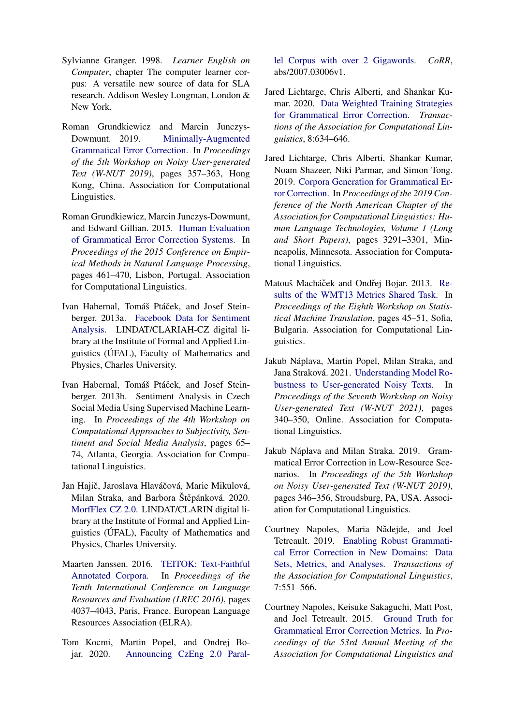- <span id="page-13-2"></span>Sylvianne Granger. 1998. *Learner English on Computer*, chapter The computer learner corpus: A versatile new source of data for SLA research. Addison Wesley Longman, London & New York.
- <span id="page-13-8"></span>Roman Grundkiewicz and Marcin Junczys-Dowmunt. 2019. [Minimally-Augmented](https://doi.org/10.18653/v1/D19-5546) [Grammatical Error Correction.](https://doi.org/10.18653/v1/D19-5546) In *Proceedings of the 5th Workshop on Noisy User-generated Text (W-NUT 2019)*, pages 357–363, Hong Kong, China. Association for Computational Linguistics.
- <span id="page-13-13"></span>Roman Grundkiewicz, Marcin Junczys-Dowmunt, and Edward Gillian. 2015. [Human Evaluation](https://doi.org/10.18653/v1/D15-1052) [of Grammatical Error Correction Systems.](https://doi.org/10.18653/v1/D15-1052) In *Proceedings of the 2015 Conference on Empirical Methods in Natural Language Processing*, pages 461–470, Lisbon, Portugal. Association for Computational Linguistics.
- <span id="page-13-4"></span>Ivan Habernal, Tomáš Ptáček, and Josef Steinberger. 2013a. [Facebook Data for Sentiment](http://hdl.handle.net/11858/00-097C-0000-0022-FE82-7) [Analysis.](http://hdl.handle.net/11858/00-097C-0000-0022-FE82-7) LINDAT/CLARIAH-CZ digital library at the Institute of Formal and Applied Linguistics (ÚFAL), Faculty of Mathematics and Physics, Charles University.
- <span id="page-13-5"></span>Ivan Habernal, Tomáš Ptáček, and Josef Steinberger. 2013b. Sentiment Analysis in Czech Social Media Using Supervised Machine Learning. In *Proceedings of the 4th Workshop on Computational Approaches to Subjectivity, Sentiment and Social Media Analysis*, pages 65– 74, Atlanta, Georgia. Association for Computational Linguistics.
- <span id="page-13-6"></span>Jan Hajič, Jaroslava Hlaváčová, Marie Mikulová, Milan Straka, and Barbora Štěpánková. 2020. [MorfFlex CZ 2.0.](http://hdl.handle.net/11234/1-3186) LINDAT/CLARIN digital library at the Institute of Formal and Applied Linguistics (ÚFAL), Faculty of Mathematics and Physics, Charles University.
- <span id="page-13-3"></span>Maarten Janssen. 2016. [TEITOK: Text-Faithful](http://www.lrec-conf.org/proceedings/lrec2016/pdf/651_Paper.pdf) [Annotated Corpora.](http://www.lrec-conf.org/proceedings/lrec2016/pdf/651_Paper.pdf) In *Proceedings of the Tenth International Conference on Language Resources and Evaluation (LREC 2016)*, pages 4037–4043, Paris, France. European Language Resources Association (ELRA).
- <span id="page-13-9"></span>Tom Kocmi, Martin Popel, and Ondrej Bojar. 2020. [Announcing CzEng 2.0 Paral-](http://arxiv.org/abs/2007.03006v1)

[lel Corpus with over 2 Gigawords.](http://arxiv.org/abs/2007.03006v1) *CoRR*, abs/2007.03006v1.

- <span id="page-13-11"></span>Jared Lichtarge, Chris Alberti, and Shankar Kumar. 2020. [Data Weighted Training Strategies](https://doi.org/10.1162/tacl_a_00336) [for Grammatical Error Correction.](https://doi.org/10.1162/tacl_a_00336) *Transactions of the Association for Computational Linguistics*, 8:634–646.
- <span id="page-13-10"></span>Jared Lichtarge, Chris Alberti, Shankar Kumar, Noam Shazeer, Niki Parmar, and Simon Tong. 2019. [Corpora Generation for Grammatical Er](https://doi.org/10.18653/v1/N19-1333)[ror Correction.](https://doi.org/10.18653/v1/N19-1333) In *Proceedings of the 2019 Conference of the North American Chapter of the Association for Computational Linguistics: Human Language Technologies, Volume 1 (Long and Short Papers)*, pages 3291–3301, Minneapolis, Minnesota. Association for Computational Linguistics.
- <span id="page-13-14"></span>Matouš Macháček and Ondřej Bojar. 2013. [Re](https://www.aclweb.org/anthology/W13-2202)[sults of the WMT13 Metrics Shared Task.](https://www.aclweb.org/anthology/W13-2202) In *Proceedings of the Eighth Workshop on Statistical Machine Translation*, pages 45–51, Sofia, Bulgaria. Association for Computational Linguistics.
- <span id="page-13-7"></span>Jakub Náplava, Martin Popel, Milan Straka, and Jana Straková. 2021. [Understanding Model Ro](https://doi.org/10.18653/v1/2021.wnut-1.38)[bustness to User-generated Noisy Texts.](https://doi.org/10.18653/v1/2021.wnut-1.38) In *Proceedings of the Seventh Workshop on Noisy User-generated Text (W-NUT 2021)*, pages 340–350, Online. Association for Computational Linguistics.
- <span id="page-13-0"></span>Jakub Náplava and Milan Straka. 2019. Grammatical Error Correction in Low-Resource Scenarios. In *Proceedings of the 5th Workshop on Noisy User-generated Text (W-NUT 2019)*, pages 346–356, Stroudsburg, PA, USA. Association for Computational Linguistics.
- <span id="page-13-1"></span>Courtney Napoles, Maria Nădejde, and Joel Tetreault. 2019. [Enabling Robust Grammati](https://doi.org/10.1162/tacl_a_00282)[cal Error Correction in New Domains: Data](https://doi.org/10.1162/tacl_a_00282) [Sets, Metrics, and Analyses.](https://doi.org/10.1162/tacl_a_00282) *Transactions of the Association for Computational Linguistics*, 7:551–566.
- <span id="page-13-12"></span>Courtney Napoles, Keisuke Sakaguchi, Matt Post, and Joel Tetreault. 2015. [Ground Truth for](https://doi.org/10.3115/v1/P15-2097) [Grammatical Error Correction Metrics.](https://doi.org/10.3115/v1/P15-2097) In *Proceedings of the 53rd Annual Meeting of the Association for Computational Linguistics and*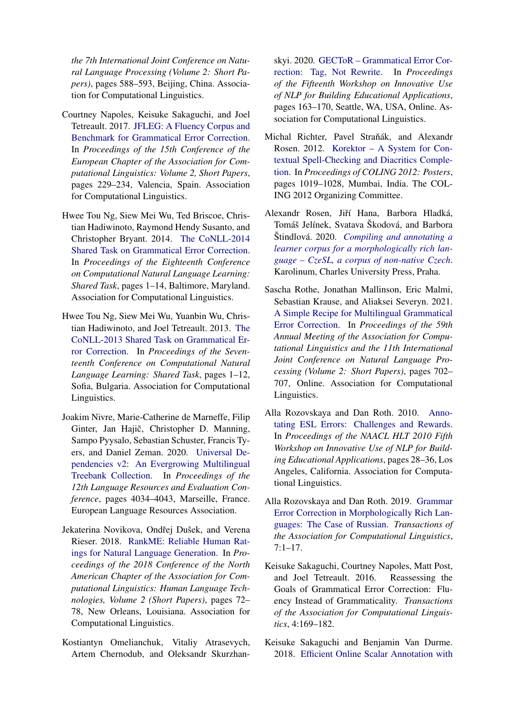*the 7th International Joint Conference on Natural Language Processing (Volume 2: Short Papers)*, pages 588–593, Beijing, China. Association for Computational Linguistics.

- <span id="page-14-1"></span>Courtney Napoles, Keisuke Sakaguchi, and Joel Tetreault. 2017. [JFLEG: A Fluency Corpus and](https://www.aclweb.org/anthology/E17-2037) [Benchmark for Grammatical Error Correction.](https://www.aclweb.org/anthology/E17-2037) In *Proceedings of the 15th Conference of the European Chapter of the Association for Computational Linguistics: Volume 2, Short Papers*, pages 229–234, Valencia, Spain. Association for Computational Linguistics.
- <span id="page-14-0"></span>Hwee Tou Ng, Siew Mei Wu, Ted Briscoe, Christian Hadiwinoto, Raymond Hendy Susanto, and Christopher Bryant. 2014. [The CoNLL-2014](https://doi.org/10.3115/v1/W14-1701) [Shared Task on Grammatical Error Correction.](https://doi.org/10.3115/v1/W14-1701) In *Proceedings of the Eighteenth Conference on Computational Natural Language Learning: Shared Task*, pages 1–14, Baltimore, Maryland. Association for Computational Linguistics.
- <span id="page-14-10"></span>Hwee Tou Ng, Siew Mei Wu, Yuanbin Wu, Christian Hadiwinoto, and Joel Tetreault. 2013. [The](https://www.aclweb.org/anthology/W13-3601) [CoNLL-2013 Shared Task on Grammatical Er](https://www.aclweb.org/anthology/W13-3601)[ror Correction.](https://www.aclweb.org/anthology/W13-3601) In *Proceedings of the Seventeenth Conference on Computational Natural Language Learning: Shared Task*, pages 1–12, Sofia, Bulgaria. Association for Computational Linguistics.
- <span id="page-14-6"></span>Joakim Nivre, Marie-Catherine de Marneffe, Filip Ginter, Jan Hajič, Christopher D. Manning, Sampo Pyysalo, Sebastian Schuster, Francis Tyers, and Daniel Zeman. 2020. [Universal De](https://www.aclweb.org/anthology/2020.lrec-1.497)[pendencies v2: An Evergrowing Multilingual](https://www.aclweb.org/anthology/2020.lrec-1.497) [Treebank Collection.](https://www.aclweb.org/anthology/2020.lrec-1.497) In *Proceedings of the 12th Language Resources and Evaluation Conference*, pages 4034–4043, Marseille, France. European Language Resources Association.
- <span id="page-14-12"></span>Jekaterina Novikova, Ondřej Dušek, and Verena Rieser. 2018. [RankME: Reliable Human Rat](https://doi.org/10.18653/v1/N18-2012)[ings for Natural Language Generation.](https://doi.org/10.18653/v1/N18-2012) In *Proceedings of the 2018 Conference of the North American Chapter of the Association for Computational Linguistics: Human Language Technologies, Volume 2 (Short Papers)*, pages 72– 78, New Orleans, Louisiana. Association for Computational Linguistics.
- <span id="page-14-8"></span>Kostiantyn Omelianchuk, Vitaliy Atrasevych, Artem Chernodub, and Oleksandr Skurzhan-

skyi. 2020. [GECToR – Grammatical Error Cor](https://doi.org/10.18653/v1/2020.bea-1.16)[rection: Tag, Not Rewrite.](https://doi.org/10.18653/v1/2020.bea-1.16) In *Proceedings of the Fifteenth Workshop on Innovative Use of NLP for Building Educational Applications*, pages 163–170, Seattle, WA, USA, Online. Association for Computational Linguistics.

- <span id="page-14-7"></span>Michal Richter, Pavel Straňák, and Alexandr Rosen. 2012. [Korektor – A System for Con](http://www.aclweb.org/anthology/C12-2099)[textual Spell-Checking and Diacritics Comple](http://www.aclweb.org/anthology/C12-2099)[tion.](http://www.aclweb.org/anthology/C12-2099) In *Proceedings of COLING 2012: Posters*, pages 1019–1028, Mumbai, India. The COL-ING 2012 Organizing Committee.
- <span id="page-14-4"></span>Alexandr Rosen, Jiří Hana, Barbora Hladká, Tomáš Jelínek, Svatava Škodová, and Barbora Štindlová. 2020. *[Compiling and annotating a](https://dspace.cuni.cz/handle/20.500.11956/123103) [learner corpus for a morphologically rich lan](https://dspace.cuni.cz/handle/20.500.11956/123103)[guage – CzeSL, a corpus of non-native Czech](https://dspace.cuni.cz/handle/20.500.11956/123103)*. Karolinum, Charles University Press, Praha.
- <span id="page-14-9"></span>Sascha Rothe, Jonathan Mallinson, Eric Malmi, Sebastian Krause, and Aliaksei Severyn. 2021. [A Simple Recipe for Multilingual Grammatical](https://doi.org/10.18653/v1/2021.acl-short.89) [Error Correction.](https://doi.org/10.18653/v1/2021.acl-short.89) In *Proceedings of the 59th Annual Meeting of the Association for Computational Linguistics and the 11th International Joint Conference on Natural Language Processing (Volume 2: Short Papers)*, pages 702– 707, Online. Association for Computational Linguistics.
- <span id="page-14-5"></span>Alla Rozovskaya and Dan Roth. 2010. [Anno](https://www.aclweb.org/anthology/W10-1004)[tating ESL Errors: Challenges and Rewards.](https://www.aclweb.org/anthology/W10-1004) In *Proceedings of the NAACL HLT 2010 Fifth Workshop on Innovative Use of NLP for Building Educational Applications*, pages 28–36, Los Angeles, California. Association for Computational Linguistics.
- <span id="page-14-2"></span>Alla Rozovskaya and Dan Roth. 2019. [Grammar](https://www.aclweb.org/anthology/Q19-1001) [Error Correction in Morphologically Rich Lan](https://www.aclweb.org/anthology/Q19-1001)[guages: The Case of Russian.](https://www.aclweb.org/anthology/Q19-1001) *Transactions of the Association for Computational Linguistics*, 7:1–17.
- <span id="page-14-3"></span>Keisuke Sakaguchi, Courtney Napoles, Matt Post, and Joel Tetreault. 2016. Reassessing the Goals of Grammatical Error Correction: Fluency Instead of Grammaticality. *Transactions of the Association for Computational Linguistics*, 4:169–182.
- <span id="page-14-11"></span>Keisuke Sakaguchi and Benjamin Van Durme. 2018. [Efficient Online Scalar Annotation with](https://doi.org/10.18653/v1/P18-1020)